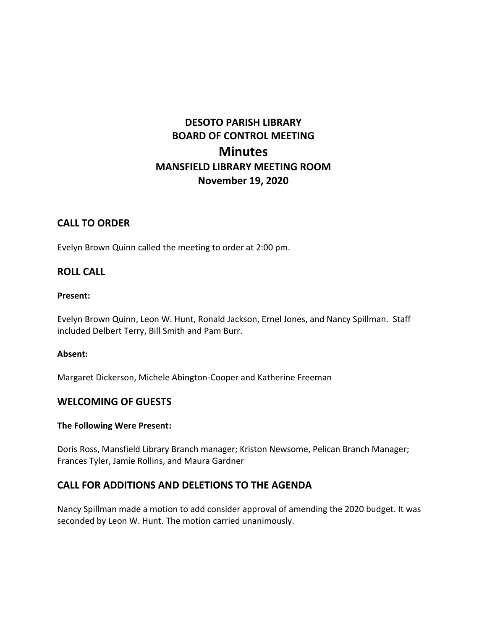# **DESOTO PARISH LIBRARY BOARD OF CONTROL MEETING Minutes MANSFIELD LIBRARY MEETING ROOM November 19, 2020**

## **CALL TO ORDER**

Evelyn Brown Quinn called the meeting to order at 2:00 pm.

### **ROLL CALL**

#### **Present:**

Evelyn Brown Quinn, Leon W. Hunt, Ronald Jackson, Ernel Jones, and Nancy Spillman. Staff included Delbert Terry, Bill Smith and Pam Burr.

#### **Absent:**

Margaret Dickerson, Michele Abington-Cooper and Katherine Freeman

### **WELCOMING OF GUESTS**

#### **The Following Were Present:**

Doris Ross, Mansfield Library Branch manager; Kriston Newsome, Pelican Branch Manager; Frances Tyler, Jamie Rollins, and Maura Gardner

# **CALL FOR ADDITIONS AND DELETIONS TO THE AGENDA**

Nancy Spillman made a motion to add consider approval of amending the 2020 budget. It was seconded by Leon W. Hunt. The motion carried unanimously.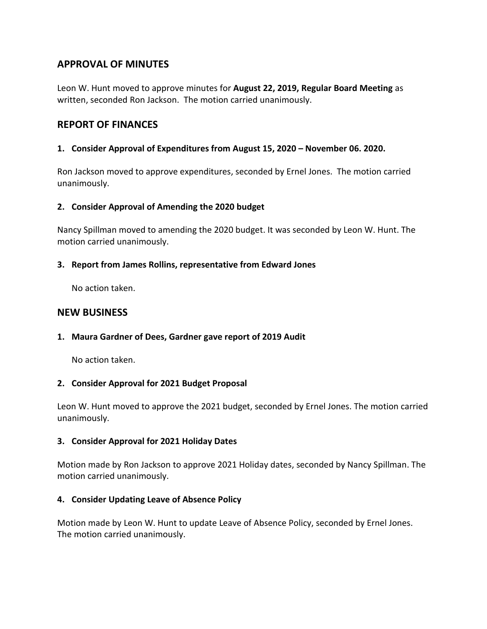# **APPROVAL OF MINUTES**

Leon W. Hunt moved to approve minutes for **August 22, 2019, Regular Board Meeting** as written, seconded Ron Jackson. The motion carried unanimously.

# **REPORT OF FINANCES**

### **1. Consider Approval of Expenditures from August 15, 2020 – November 06. 2020.**

Ron Jackson moved to approve expenditures, seconded by Ernel Jones. The motion carried unanimously.

### **2. Consider Approval of Amending the 2020 budget**

Nancy Spillman moved to amending the 2020 budget. It was seconded by Leon W. Hunt. The motion carried unanimously.

#### **3. Report from James Rollins, representative from Edward Jones**

No action taken.

## **NEW BUSINESS**

### **1. Maura Gardner of Dees, Gardner gave report of 2019 Audit**

No action taken.

### **2. Consider Approval for 2021 Budget Proposal**

Leon W. Hunt moved to approve the 2021 budget, seconded by Ernel Jones. The motion carried unanimously.

### **3. Consider Approval for 2021 Holiday Dates**

Motion made by Ron Jackson to approve 2021 Holiday dates, seconded by Nancy Spillman. The motion carried unanimously.

### **4. Consider Updating Leave of Absence Policy**

Motion made by Leon W. Hunt to update Leave of Absence Policy, seconded by Ernel Jones. The motion carried unanimously.